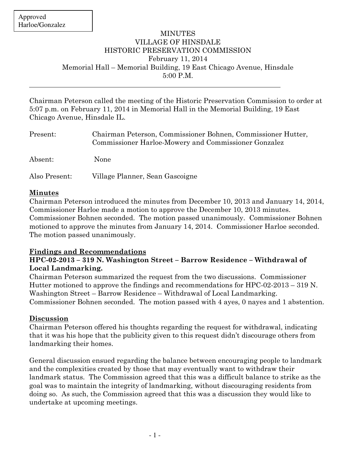### MINUTES VILLAGE OF HINSDALE HISTORIC PRESERVATION COMMISSION February 11, 2014 Memorial Hall – Memorial Building, 19 East Chicago Avenue, Hinsdale 5:00 P.M.

Chairman Peterson called the meeting of the Historic Preservation Commission to order at 5:07 p.m. on February 11, 2014 in Memorial Hall in the Memorial Building, 19 East Chicago Avenue, Hinsdale IL.

| Present:      | Chairman Peterson, Commissioner Bohnen, Commissioner Hutter,<br>Commissioner Harloe-Mowery and Commissioner Gonzalez |
|---------------|----------------------------------------------------------------------------------------------------------------------|
| Absent:       | None                                                                                                                 |
| Also Present: | Village Planner, Sean Gascoigne                                                                                      |

### **Minutes**

Chairman Peterson introduced the minutes from December 10, 2013 and January 14, 2014, Commissioner Harloe made a motion to approve the December 10, 2013 minutes. Commissioner Bohnen seconded. The motion passed unanimously. Commissioner Bohnen motioned to approve the minutes from January 14, 2014. Commissioner Harloe seconded. The motion passed unanimously.

# **Findings and Recommendations**

# **HPC-02-2013 – 319 N. Washington Street – Barrow Residence – Withdrawal of Local Landmarking.**

Chairman Peterson summarized the request from the two discussions. Commissioner Hutter motioned to approve the findings and recommendations for HPC-02-2013 – 319 N. Washington Street – Barrow Residence – Withdrawal of Local Landmarking. Commissioner Bohnen seconded. The motion passed with 4 ayes, 0 nayes and 1 abstention.

# **Discussion**

Chairman Peterson offered his thoughts regarding the request for withdrawal, indicating that it was his hope that the publicity given to this request didn't discourage others from landmarking their homes.

General discussion ensued regarding the balance between encouraging people to landmark and the complexities created by those that may eventually want to withdraw their landmark status. The Commission agreed that this was a difficult balance to strike as the goal was to maintain the integrity of landmarking, without discouraging residents from doing so. As such, the Commission agreed that this was a discussion they would like to undertake at upcoming meetings.